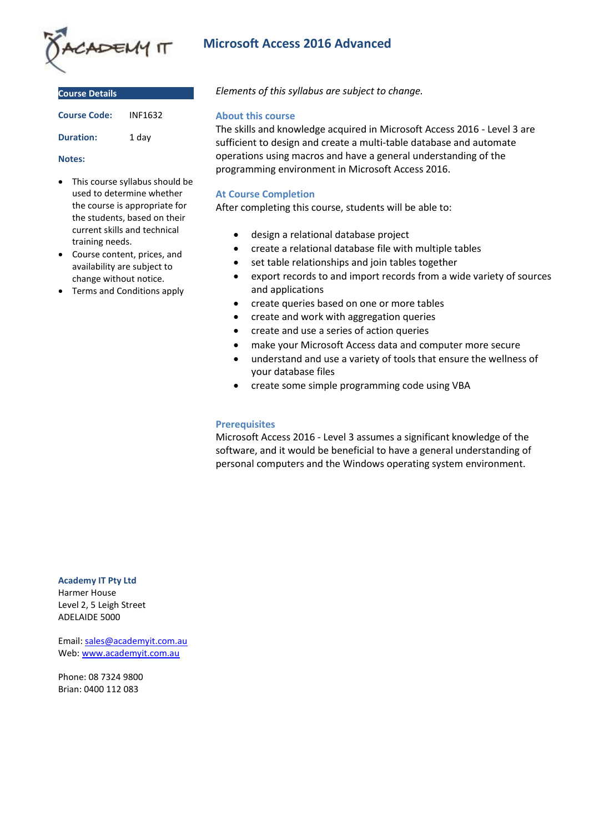

**Course Details**

| <b>Course Code:</b> | INF1632 |
|---------------------|---------|
| <b>Duration:</b>    | 1 day   |

#### **Notes:**

- This course syllabus should be used to determine whether the course is appropriate for the students, based on their current skills and technical training needs.
- Course content, prices, and availability are subject to change without notice.
- Terms and Conditions apply

# **Microsoft Access 2016 Advanced**

*Elements of this syllabus are subject to change.*

## **About this course**

The skills and knowledge acquired in Microsoft Access 2016 - Level 3 are sufficient to design and create a multi-table database and automate operations using macros and have a general understanding of the programming environment in Microsoft Access 2016.

# **At Course Completion**

After completing this course, students will be able to:

- design a relational database project
- create a relational database file with multiple tables
- set table relationships and join tables together
- export records to and import records from a wide variety of sources and applications
- create queries based on one or more tables
- create and work with aggregation queries
- create and use a series of action queries
- make your Microsoft Access data and computer more secure
- understand and use a variety of tools that ensure the wellness of your database files
- create some simple programming code using VBA

## **Prerequisites**

Microsoft Access 2016 - Level 3 assumes a significant knowledge of the software, and it would be beneficial to have a general understanding of personal computers and the Windows operating system environment.

#### **Academy IT Pty Ltd**

Harmer House Level 2, 5 Leigh Street ADELAIDE 5000

Email: [sales@academyit.com.au](mailto:sales@academyit.com.au) Web: [www.academyit.com.au](http://www.academyit.com.au/)

Phone: 08 7324 9800 Brian: 0400 112 083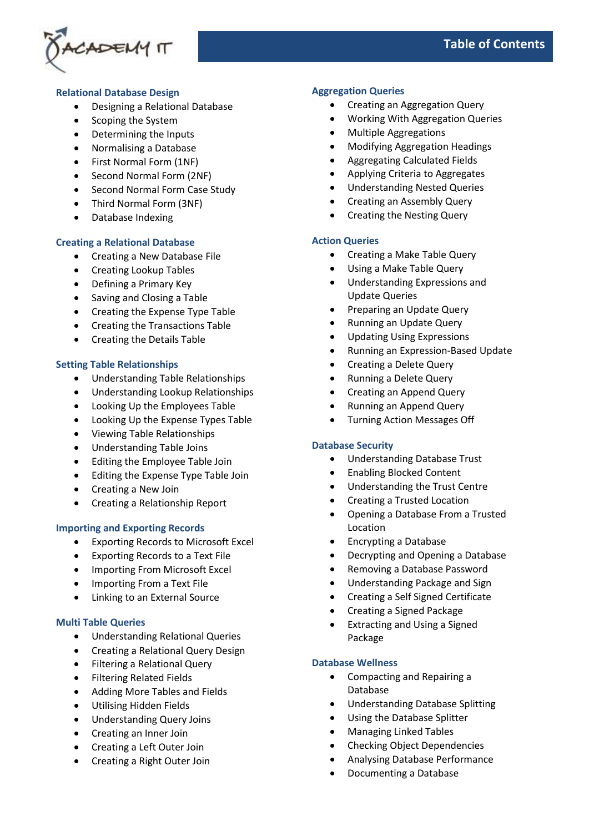

# **Table of Contents**

## **Relational Database Design**

- Designing a Relational Database
- Scoping the System
- Determining the Inputs
- Normalising a Database
- First Normal Form (1NF)
- Second Normal Form (2NF)
- Second Normal Form Case Study
- Third Normal Form (3NF)
- Database Indexing

## **Creating a Relational Database**

- Creating a New Database File
- Creating Lookup Tables
- Defining a Primary Key
- Saving and Closing a Table
- Creating the Expense Type Table
- Creating the Transactions Table
- Creating the Details Table

## **Setting Table Relationships**

- Understanding Table Relationships
- Understanding Lookup Relationships
- Looking Up the Employees Table
- Looking Up the Expense Types Table
- Viewing Table Relationships
- Understanding Table Joins
- Editing the Employee Table Join
- Editing the Expense Type Table Join
- Creating a New Join
- Creating a Relationship Report

#### **Importing and Exporting Records**

- Exporting Records to Microsoft Excel
- Exporting Records to a Text File
- Importing From Microsoft Excel
- Importing From a Text File
- Linking to an External Source

#### **Multi Table Queries**

- Understanding Relational Queries
- Creating a Relational Query Design
- Filtering a Relational Query
- Filtering Related Fields
- Adding More Tables and Fields
- Utilising Hidden Fields
- Understanding Query Joins
- Creating an Inner Join
- Creating a Left Outer Join
- Creating a Right Outer Join

## **Aggregation Queries**

- Creating an Aggregation Query
- Working With Aggregation Queries
- Multiple Aggregations
- Modifying Aggregation Headings
- Aggregating Calculated Fields
- Applying Criteria to Aggregates
- Understanding Nested Queries
- Creating an Assembly Query
- Creating the Nesting Query

## **Action Queries**

- Creating a Make Table Query
- Using a Make Table Query
- Understanding Expressions and Update Queries
- Preparing an Update Query
- Running an Update Query
- Updating Using Expressions
- Running an Expression-Based Update
- Creating a Delete Query
- Running a Delete Query
- Creating an Append Query
- Running an Append Query
- Turning Action Messages Off

#### **Database Security**

- Understanding Database Trust
- Enabling Blocked Content
- Understanding the Trust Centre
- Creating a Trusted Location
- Opening a Database From a Trusted Location
- Encrypting a Database
- Decrypting and Opening a Database
- Removing a Database Password
- Understanding Package and Sign
- Creating a Self Signed Certificate
- Creating a Signed Package
- Extracting and Using a Signed Package

#### **Database Wellness**

- Compacting and Repairing a Database
- Understanding Database Splitting
- Using the Database Splitter
- Managing Linked Tables
- Checking Object Dependencies
- Analysing Database Performance
- Documenting a Database